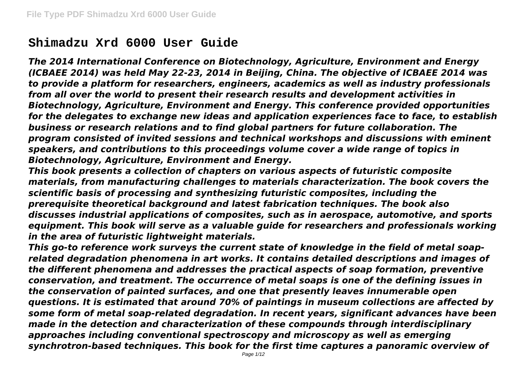# **Shimadzu Xrd 6000 User Guide**

*The 2014 International Conference on Biotechnology, Agriculture, Environment and Energy (ICBAEE 2014) was held May 22-23, 2014 in Beijing, China. The objective of ICBAEE 2014 was to provide a platform for researchers, engineers, academics as well as industry professionals from all over the world to present their research results and development activities in Biotechnology, Agriculture, Environment and Energy. This conference provided opportunities for the delegates to exchange new ideas and application experiences face to face, to establish business or research relations and to find global partners for future collaboration. The program consisted of invited sessions and technical workshops and discussions with eminent speakers, and contributions to this proceedings volume cover a wide range of topics in Biotechnology, Agriculture, Environment and Energy.*

*This book presents a collection of chapters on various aspects of futuristic composite materials, from manufacturing challenges to materials characterization. The book covers the scientific basis of processing and synthesizing futuristic composites, including the prerequisite theoretical background and latest fabrication techniques. The book also discusses industrial applications of composites, such as in aerospace, automotive, and sports equipment. This book will serve as a valuable guide for researchers and professionals working in the area of futuristic lightweight materials.*

*This go-to reference work surveys the current state of knowledge in the field of metal soaprelated degradation phenomena in art works. It contains detailed descriptions and images of the different phenomena and addresses the practical aspects of soap formation, preventive conservation, and treatment. The occurrence of metal soaps is one of the defining issues in the conservation of painted surfaces, and one that presently leaves innumerable open questions. It is estimated that around 70% of paintings in museum collections are affected by some form of metal soap-related degradation. In recent years, significant advances have been made in the detection and characterization of these compounds through interdisciplinary approaches including conventional spectroscopy and microscopy as well as emerging synchrotron-based techniques. This book for the first time captures a panoramic overview of*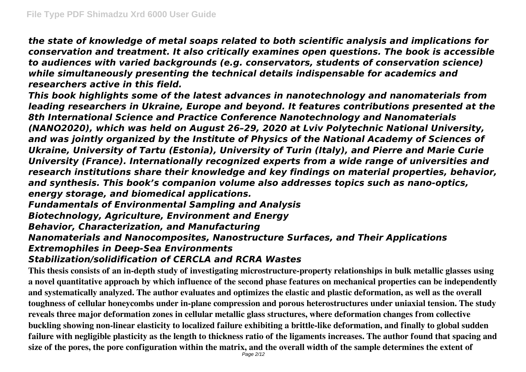*the state of knowledge of metal soaps related to both scientific analysis and implications for conservation and treatment. It also critically examines open questions. The book is accessible to audiences with varied backgrounds (e.g. conservators, students of conservation science) while simultaneously presenting the technical details indispensable for academics and researchers active in this field.*

*This book highlights some of the latest advances in nanotechnology and nanomaterials from leading researchers in Ukraine, Europe and beyond. It features contributions presented at the 8th International Science and Practice Conference Nanotechnology and Nanomaterials (NANO2020), which was held on August 26–29, 2020 at Lviv Polytechnic National University, and was jointly organized by the Institute of Physics of the National Academy of Sciences of Ukraine, University of Tartu (Estonia), University of Turin (Italy), and Pierre and Marie Curie University (France). Internationally recognized experts from a wide range of universities and research institutions share their knowledge and key findings on material properties, behavior, and synthesis. This book's companion volume also addresses topics such as nano-optics, energy storage, and biomedical applications. Fundamentals of Environmental Sampling and Analysis*

*Biotechnology, Agriculture, Environment and Energy*

*Behavior, Characterization, and Manufacturing*

*Nanomaterials and Nanocomposites, Nanostructure Surfaces, and Their Applications*

*Extremophiles in Deep-Sea Environments*

## *Stabilization/solidification of CERCLA and RCRA Wastes*

**This thesis consists of an in-depth study of investigating microstructure-property relationships in bulk metallic glasses using a novel quantitative approach by which influence of the second phase features on mechanical properties can be independently and systematically analyzed. The author evaluates and optimizes the elastic and plastic deformation, as well as the overall toughness of cellular honeycombs under in-plane compression and porous heterostructures under uniaxial tension. The study reveals three major deformation zones in cellular metallic glass structures, where deformation changes from collective buckling showing non-linear elasticity to localized failure exhibiting a brittle-like deformation, and finally to global sudden failure with negligible plasticity as the length to thickness ratio of the ligaments increases. The author found that spacing and size of the pores, the pore configuration within the matrix, and the overall width of the sample determines the extent of**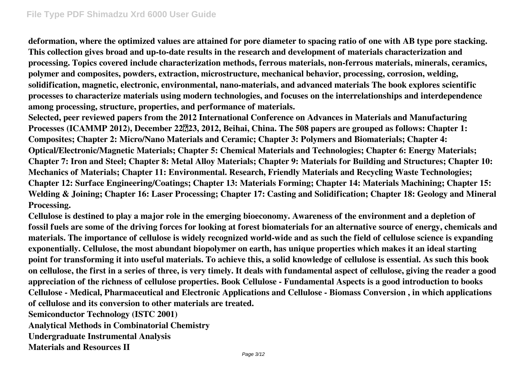**deformation, where the optimized values are attained for pore diameter to spacing ratio of one with AB type pore stacking. This collection gives broad and up-to-date results in the research and development of materials characterization and processing. Topics covered include characterization methods, ferrous materials, non-ferrous materials, minerals, ceramics, polymer and composites, powders, extraction, microstructure, mechanical behavior, processing, corrosion, welding, solidification, magnetic, electronic, environmental, nano-materials, and advanced materials The book explores scientific processes to characterize materials using modern technologies, and focuses on the interrelationships and interdependence among processing, structure, properties, and performance of materials.**

**Selected, peer reviewed papers from the 2012 International Conference on Advances in Materials and Manufacturing Processes (ICAMMP 2012), December 22223, 2012, Beihai, China. The 508 papers are grouped as follows: Chapter 1: Composites; Chapter 2: Micro/Nano Materials and Ceramic; Chapter 3: Polymers and Biomaterials; Chapter 4: Optical/Electronic/Magnetic Materials; Chapter 5: Chemical Materials and Technologies; Chapter 6: Energy Materials; Chapter 7: Iron and Steel; Chapter 8: Metal Alloy Materials; Chapter 9: Materials for Building and Structures; Chapter 10: Mechanics of Materials; Chapter 11: Environmental. Research, Friendly Materials and Recycling Waste Technologies; Chapter 12: Surface Engineering/Coatings; Chapter 13: Materials Forming; Chapter 14: Materials Machining; Chapter 15: Welding & Joining; Chapter 16: Laser Processing; Chapter 17: Casting and Solidification; Chapter 18: Geology and Mineral Processing.**

**Cellulose is destined to play a major role in the emerging bioeconomy. Awareness of the environment and a depletion of fossil fuels are some of the driving forces for looking at forest biomaterials for an alternative source of energy, chemicals and materials. The importance of cellulose is widely recognized world-wide and as such the field of cellulose science is expanding exponentially. Cellulose, the most abundant biopolymer on earth, has unique properties which makes it an ideal starting point for transforming it into useful materials. To achieve this, a solid knowledge of cellulose is essential. As such this book on cellulose, the first in a series of three, is very timely. It deals with fundamental aspect of cellulose, giving the reader a good appreciation of the richness of cellulose properties. Book Cellulose - Fundamental Aspects is a good introduction to books Cellulose - Medical, Pharmaceutical and Electronic Applications and Cellulose - Biomass Conversion , in which applications of cellulose and its conversion to other materials are treated.**

**Semiconductor Technology (ISTC 2001)**

**Analytical Methods in Combinatorial Chemistry**

**Undergraduate Instrumental Analysis**

**Materials and Resources II**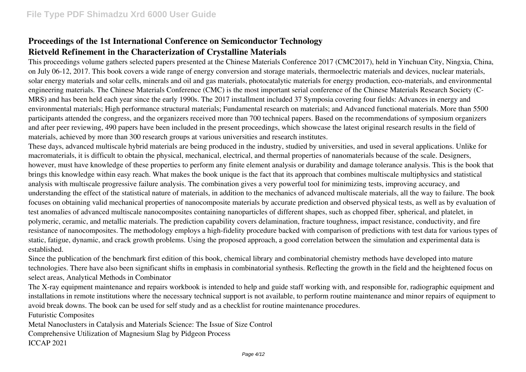### **Proceedings of the 1st International Conference on Semiconductor Technology Rietveld Refinement in the Characterization of Crystalline Materials**

This proceedings volume gathers selected papers presented at the Chinese Materials Conference 2017 (CMC2017), held in Yinchuan City, Ningxia, China, on July 06-12, 2017. This book covers a wide range of energy conversion and storage materials, thermoelectric materials and devices, nuclear materials, solar energy materials and solar cells, minerals and oil and gas materials, photocatalytic materials for energy production, eco-materials, and environmental engineering materials. The Chinese Materials Conference (CMC) is the most important serial conference of the Chinese Materials Research Society (C-MRS) and has been held each year since the early 1990s. The 2017 installment included 37 Symposia covering four fields: Advances in energy and environmental materials; High performance structural materials; Fundamental research on materials; and Advanced functional materials. More than 5500 participants attended the congress, and the organizers received more than 700 technical papers. Based on the recommendations of symposium organizers and after peer reviewing, 490 papers have been included in the present proceedings, which showcase the latest original research results in the field of materials, achieved by more than 300 research groups at various universities and research institutes.

These days, advanced multiscale hybrid materials are being produced in the industry, studied by universities, and used in several applications. Unlike for macromaterials, it is difficult to obtain the physical, mechanical, electrical, and thermal properties of nanomaterials because of the scale. Designers, however, must have knowledge of these properties to perform any finite element analysis or durability and damage tolerance analysis. This is the book that brings this knowledge within easy reach. What makes the book unique is the fact that its approach that combines multiscale multiphysics and statistical analysis with multiscale progressive failure analysis. The combination gives a very powerful tool for minimizing tests, improving accuracy, and understanding the effect of the statistical nature of materials, in addition to the mechanics of advanced multiscale materials, all the way to failure. The book focuses on obtaining valid mechanical properties of nanocomposite materials by accurate prediction and observed physical tests, as well as by evaluation of test anomalies of advanced multiscale nanocomposites containing nanoparticles of different shapes, such as chopped fiber, spherical, and platelet, in polymeric, ceramic, and metallic materials. The prediction capability covers delamination, fracture toughness, impact resistance, conductivity, and fire resistance of nanocomposites. The methodology employs a high-fidelity procedure backed with comparison of predictions with test data for various types of static, fatigue, dynamic, and crack growth problems. Using the proposed approach, a good correlation between the simulation and experimental data is established.

Since the publication of the benchmark first edition of this book, chemical library and combinatorial chemistry methods have developed into mature technologies. There have also been significant shifts in emphasis in combinatorial synthesis. Reflecting the growth in the field and the heightened focus on select areas, Analytical Methods in Combinator

The X-ray equipment maintenance and repairs workbook is intended to help and guide staff working with, and responsible for, radiographic equipment and installations in remote institutions where the necessary technical support is not available, to perform routine maintenance and minor repairs of equipment to avoid break downs. The book can be used for self study and as a checklist for routine maintenance procedures.

Futuristic Composites

Metal Nanoclusters in Catalysis and Materials Science: The Issue of Size Control Comprehensive Utilization of Magnesium Slag by Pidgeon Process ICCAP 2021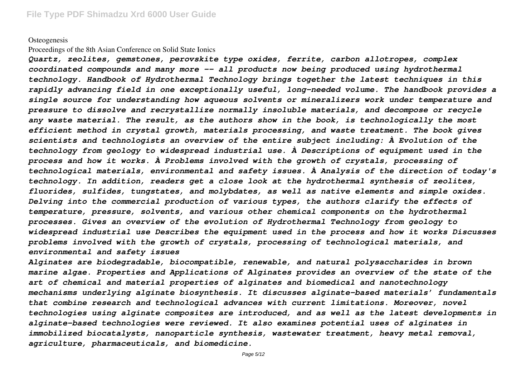#### **Osteogenesis**

#### Proceedings of the 8th Asian Conference on Solid State Ionics

*Quartz, zeolites, gemstones, perovskite type oxides, ferrite, carbon allotropes, complex coordinated compounds and many more -- all products now being produced using hydrothermal technology. Handbook of Hydrothermal Technology brings together the latest techniques in this rapidly advancing field in one exceptionally useful, long-needed volume. The handbook provides a single source for understanding how aqueous solvents or mineralizers work under temperature and pressure to dissolve and recrystallize normally insoluble materials, and decompose or recycle any waste material. The result, as the authors show in the book, is technologically the most efficient method in crystal growth, materials processing, and waste treatment. The book gives scientists and technologists an overview of the entire subject including: À Evolution of the technology from geology to widespread industrial use. À Descriptions of equipment used in the process and how it works. À Problems involved with the growth of crystals, processing of technological materials, environmental and safety issues. À Analysis of the direction of today's technology. In addition, readers get a close look at the hydrothermal synthesis of zeolites, fluorides, sulfides, tungstates, and molybdates, as well as native elements and simple oxides. Delving into the commercial production of various types, the authors clarify the effects of temperature, pressure, solvents, and various other chemical components on the hydrothermal processes. Gives an overview of the evolution of Hydrothermal Technology from geology to widespread industrial use Describes the equipment used in the process and how it works Discusses problems involved with the growth of crystals, processing of technological materials, and environmental and safety issues*

*Alginates are biodegradable, biocompatible, renewable, and natural polysaccharides in brown marine algae. Properties and Applications of Alginates provides an overview of the state of the art of chemical and material properties of alginates and biomedical and nanotechnology mechanisms underlying alginate biosynthesis. It discusses alginate-based materials' fundamentals that combine research and technological advances with current limitations. Moreover, novel technologies using alginate composites are introduced, and as well as the latest developments in alginate-based technologies were reviewed. It also examines potential uses of alginates in immobilized biocatalysts, nanoparticle synthesis, wastewater treatment, heavy metal removal, agriculture, pharmaceuticals, and biomedicine.*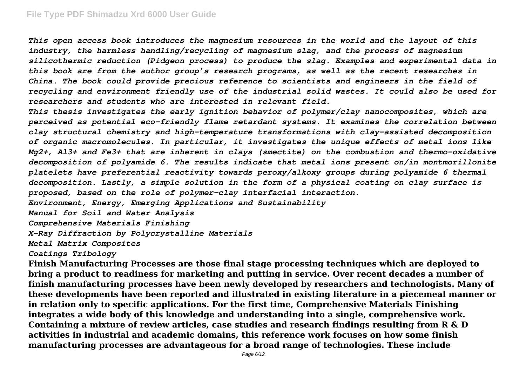*This open access book introduces the magnesium resources in the world and the layout of this industry, the harmless handling/recycling of magnesium slag, and the process of magnesium silicothermic reduction (Pidgeon process) to produce the slag. Examples and experimental data in this book are from the author group's research programs, as well as the recent researches in China. The book could provide precious reference to scientists and engineers in the field of recycling and environment friendly use of the industrial solid wastes. It could also be used for researchers and students who are interested in relevant field.*

*This thesis investigates the early ignition behavior of polymer/clay nanocomposites, which are perceived as potential eco-friendly flame retardant systems. It examines the correlation between clay structural chemistry and high-temperature transformations with clay-assisted decomposition of organic macromolecules. In particular, it investigates the unique effects of metal ions like Mg2+, Al3+ and Fe3+ that are inherent in clays (smectite) on the combustion and thermo-oxidative decomposition of polyamide 6. The results indicate that metal ions present on/in montmorillonite platelets have preferential reactivity towards peroxy/alkoxy groups during polyamide 6 thermal decomposition. Lastly, a simple solution in the form of a physical coating on clay surface is proposed, based on the role of polymer–clay interfacial interaction. Environment, Energy, Emerging Applications and Sustainability*

*Manual for Soil and Water Analysis*

*Comprehensive Materials Finishing*

*X-Ray Diffraction by Polycrystalline Materials*

*Metal Matrix Composites*

### *Coatings Tribology*

**Finish Manufacturing Processes are those final stage processing techniques which are deployed to bring a product to readiness for marketing and putting in service. Over recent decades a number of finish manufacturing processes have been newly developed by researchers and technologists. Many of these developments have been reported and illustrated in existing literature in a piecemeal manner or in relation only to specific applications. For the first time, Comprehensive Materials Finishing integrates a wide body of this knowledge and understanding into a single, comprehensive work. Containing a mixture of review articles, case studies and research findings resulting from R & D activities in industrial and academic domains, this reference work focuses on how some finish manufacturing processes are advantageous for a broad range of technologies. These include**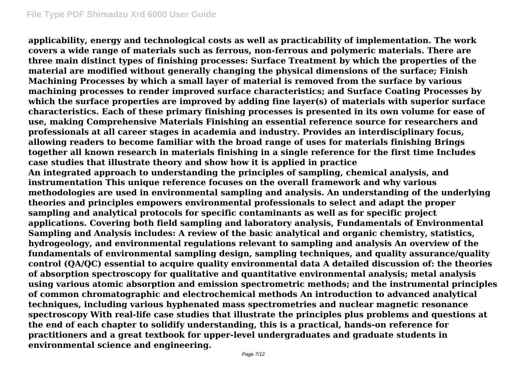**applicability, energy and technological costs as well as practicability of implementation. The work covers a wide range of materials such as ferrous, non-ferrous and polymeric materials. There are three main distinct types of finishing processes: Surface Treatment by which the properties of the material are modified without generally changing the physical dimensions of the surface; Finish Machining Processes by which a small layer of material is removed from the surface by various machining processes to render improved surface characteristics; and Surface Coating Processes by which the surface properties are improved by adding fine layer(s) of materials with superior surface characteristics. Each of these primary finishing processes is presented in its own volume for ease of use, making Comprehensive Materials Finishing an essential reference source for researchers and professionals at all career stages in academia and industry. Provides an interdisciplinary focus, allowing readers to become familiar with the broad range of uses for materials finishing Brings together all known research in materials finishing in a single reference for the first time Includes case studies that illustrate theory and show how it is applied in practice An integrated approach to understanding the principles of sampling, chemical analysis, and instrumentation This unique reference focuses on the overall framework and why various methodologies are used in environmental sampling and analysis. An understanding of the underlying theories and principles empowers environmental professionals to select and adapt the proper sampling and analytical protocols for specific contaminants as well as for specific project applications. Covering both field sampling and laboratory analysis, Fundamentals of Environmental Sampling and Analysis includes: A review of the basic analytical and organic chemistry, statistics, hydrogeology, and environmental regulations relevant to sampling and analysis An overview of the fundamentals of environmental sampling design, sampling techniques, and quality assurance/quality control (QA/QC) essential to acquire quality environmental data A detailed discussion of: the theories of absorption spectroscopy for qualitative and quantitative environmental analysis; metal analysis using various atomic absorption and emission spectrometric methods; and the instrumental principles of common chromatographic and electrochemical methods An introduction to advanced analytical techniques, including various hyphenated mass spectrometries and nuclear magnetic resonance spectroscopy With real-life case studies that illustrate the principles plus problems and questions at the end of each chapter to solidify understanding, this is a practical, hands-on reference for practitioners and a great textbook for upper-level undergraduates and graduate students in environmental science and engineering.**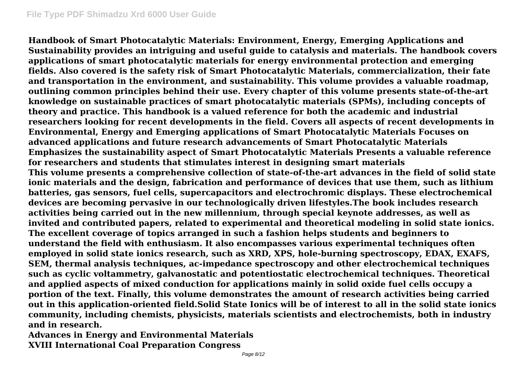**Handbook of Smart Photocatalytic Materials: Environment, Energy, Emerging Applications and Sustainability provides an intriguing and useful guide to catalysis and materials. The handbook covers applications of smart photocatalytic materials for energy environmental protection and emerging fields. Also covered is the safety risk of Smart Photocatalytic Materials, commercialization, their fate and transportation in the environment, and sustainability. This volume provides a valuable roadmap, outlining common principles behind their use. Every chapter of this volume presents state-of-the-art knowledge on sustainable practices of smart photocatalytic materials (SPMs), including concepts of theory and practice. This handbook is a valued reference for both the academic and industrial researchers looking for recent developments in the field. Covers all aspects of recent developments in Environmental, Energy and Emerging applications of Smart Photocatalytic Materials Focuses on advanced applications and future research advancements of Smart Photocatalytic Materials Emphasizes the sustainability aspect of Smart Photocatalytic Materials Presents a valuable reference for researchers and students that stimulates interest in designing smart materials This volume presents a comprehensive collection of state-of-the-art advances in the field of solid state ionic materials and the design, fabrication and performance of devices that use them, such as lithium batteries, gas sensors, fuel cells, supercapacitors and electrochromic displays. These electrochemical devices are becoming pervasive in our technologically driven lifestyles.The book includes research activities being carried out in the new millennium, through special keynote addresses, as well as invited and contributed papers, related to experimental and theoretical modeling in solid state ionics. The excellent coverage of topics arranged in such a fashion helps students and beginners to understand the field with enthusiasm. It also encompasses various experimental techniques often employed in solid state ionics research, such as XRD, XPS, hole-burning spectroscopy, EDAX, EXAFS, SEM, thermal analysis techniques, ac-impedance spectroscopy and other electrochemical techniques such as cyclic voltammetry, galvanostatic and potentiostatic electrochemical techniques. Theoretical and applied aspects of mixed conduction for applications mainly in solid oxide fuel cells occupy a portion of the text. Finally, this volume demonstrates the amount of research activities being carried out in this application-oriented field.Solid State Ionics will be of interest to all in the solid state ionics community, including chemists, physicists, materials scientists and electrochemists, both in industry and in research.**

**Advances in Energy and Environmental Materials XVIII International Coal Preparation Congress**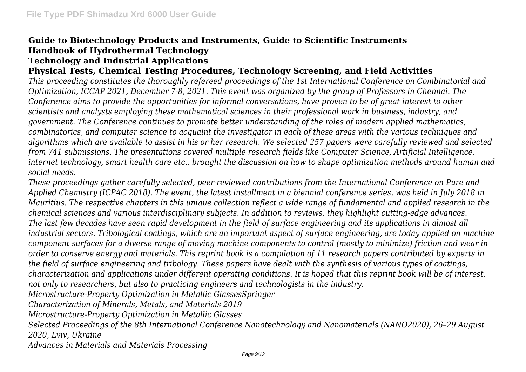### **Guide to Biotechnology Products and Instruments, Guide to Scientific Instruments Handbook of Hydrothermal Technology Technology and Industrial Applications**

### **Physical Tests, Chemical Testing Procedures, Technology Screening, and Field Activities**

*This proceeding constitutes the thoroughly refereed proceedings of the 1st International Conference on Combinatorial and Optimization, ICCAP 2021, December 7-8, 2021. This event was organized by the group of Professors in Chennai. The Conference aims to provide the opportunities for informal conversations, have proven to be of great interest to other scientists and analysts employing these mathematical sciences in their professional work in business, industry, and government. The Conference continues to promote better understanding of the roles of modern applied mathematics, combinatorics, and computer science to acquaint the investigator in each of these areas with the various techniques and algorithms which are available to assist in his or her research. We selected 257 papers were carefully reviewed and selected from 741 submissions. The presentations covered multiple research fields like Computer Science, Artificial Intelligence, internet technology, smart health care etc., brought the discussion on how to shape optimization methods around human and social needs.*

*These proceedings gather carefully selected, peer-reviewed contributions from the International Conference on Pure and Applied Chemistry (ICPAC 2018). The event, the latest installment in a biennial conference series, was held in July 2018 in Mauritius. The respective chapters in this unique collection reflect a wide range of fundamental and applied research in the chemical sciences and various interdisciplinary subjects. In addition to reviews, they highlight cutting-edge advances. The last few decades have seen rapid development in the field of surface engineering and its applications in almost all industrial sectors. Tribological coatings, which are an important aspect of surface engineering, are today applied on machine component surfaces for a diverse range of moving machine components to control (mostly to minimize) friction and wear in order to conserve energy and materials. This reprint book is a compilation of 11 research papers contributed by experts in the field of surface engineering and tribology. These papers have dealt with the synthesis of various types of coatings, characterization and applications under different operating conditions. It is hoped that this reprint book will be of interest, not only to researchers, but also to practicing engineers and technologists in the industry. Microstructure-Property Optimization in Metallic GlassesSpringer Characterization of Minerals, Metals, and Materials 2019 Microstructure-Property Optimization in Metallic Glasses*

*Selected Proceedings of the 8th International Conference Nanotechnology and Nanomaterials (NANO2020), 26–29 August 2020, Lviv, Ukraine*

*Advances in Materials and Materials Processing*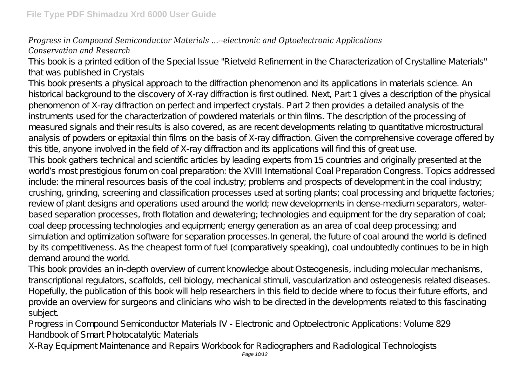### *Progress in Compound Semiconductor Materials ...--electronic and Optoelectronic Applications Conservation and Research*

This book is a printed edition of the Special Issue "Rietveld Refinement in the Characterization of Crystalline Materials" that was published in Crystals

This book presents a physical approach to the diffraction phenomenon and its applications in materials science. An historical background to the discovery of X-ray diffraction is first outlined. Next, Part 1 gives a description of the physical phenomenon of X-ray diffraction on perfect and imperfect crystals. Part 2 then provides a detailed analysis of the instruments used for the characterization of powdered materials or thin films. The description of the processing of measured signals and their results is also covered, as are recent developments relating to quantitative microstructural analysis of powders or epitaxial thin films on the basis of X-ray diffraction. Given the comprehensive coverage offered by this title, anyone involved in the field of X-ray diffraction and its applications will find this of great use.

This book gathers technical and scientific articles by leading experts from 15 countries and originally presented at the world's most prestigious forum on coal preparation: the XVIII International Coal Preparation Congress. Topics addressed include: the mineral resources basis of the coal industry; problems and prospects of development in the coal industry; crushing, grinding, screening and classification processes used at sorting plants; coal processing and briquette factories; review of plant designs and operations used around the world; new developments in dense-medium separators, waterbased separation processes, froth flotation and dewatering; technologies and equipment for the dry separation of coal; coal deep processing technologies and equipment; energy generation as an area of coal deep processing; and simulation and optimization software for separation processes.In general, the future of coal around the world is defined by its competitiveness. As the cheapest form of fuel (comparatively speaking), coal undoubtedly continues to be in high demand around the world.

This book provides an in-depth overview of current knowledge about Osteogenesis, including molecular mechanisms, transcriptional regulators, scaffolds, cell biology, mechanical stimuli, vascularization and osteogenesis related diseases. Hopefully, the publication of this book will help researchers in this field to decide where to focus their future efforts, and provide an overview for surgeons and clinicians who wish to be directed in the developments related to this fascinating subject.

Progress in Compound Semiconductor Materials IV - Electronic and Optoelectronic Applications: Volume 829 Handbook of Smart Photocatalytic Materials

X-Ray Equipment Maintenance and Repairs Workbook for Radiographers and Radiological Technologists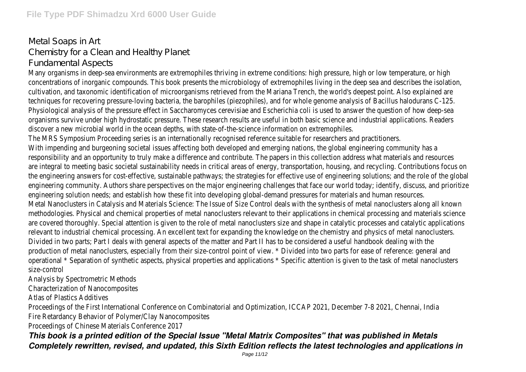### Metal Soaps in Art Chemistry for a Clean and Healthy Planet Fundamental Aspects

Many organisms in deep-sea environments are extremophiles thriving in extreme conditions: high pressure, high or low temperature, or high concentrations of inorganic compounds. This book presents the microbiology of extremophiles living in the deep sea and describes the isolation, cultivation, and taxonomic identification of microorganisms retrieved from the Mariana Trench, the world's deepest point. Also explained are techniques for recovering pressure-loving bacteria, the barophiles (piezophiles), and for whole genome analysis of Bacillus halodurans C-125. Physiological analysis of the pressure effect in Saccharomyces cerevisiae and Escherichia coli is used to answer the question of how deep-sea organisms survive under high hydrostatic pressure. These research results are useful in both basic science and industrial applications. Readers discover a new microbial world in the ocean depths, with state-of-the-science information on extremophiles. The MRS Symposium Proceeding series is an internationally recognised reference suitable for researchers and practitioners.

With impending and burgeoning societal issues affecting both developed and emerging nations, the global engineering community has a responsibility and an opportunity to truly make a difference and contribute. The papers in this collection address what materials and resources are integral to meeting basic societal sustainability needs in critical areas of energy, transportation, housing, and recycling. Contributions focus on the engineering answers for cost-effective, sustainable pathways; the strategies for effective use of engineering solutions; and the role of the global engineering community. Authors share perspectives on the major engineering challenges that face our world today; identify, discuss, and prioritize engineering solution needs; and establish how these fit into developing global-demand pressures for materials and human resources. Metal Nanoclusters in Catalysis and Materials Science: The Issue of Size Control deals with the synthesis of metal nanoclusters along all known methodologies. Physical and chemical properties of metal nanoclusters relevant to their applications in chemical processing and materials science are covered thoroughly. Special attention is given to the role of metal nanoclusters size and shape in catalytic processes and catalytic applications relevant to industrial chemical processing. An excellent text for expanding the knowledge on the chemistry and physics of metal nanoclusters. Divided in two parts; Part I deals with general aspects of the matter and Part II has to be considered a useful handbook dealing with the production of metal nanoclusters, especially from their size-control point of view. \* Divided into two parts for ease of reference: general and operational \* Separation of synthetic aspects, physical properties and applications \* Specific attention is given to the task of metal nanoclusters size-control

Analysis by Spectrometric Methods

Characterization of Nanocomposites

Atlas of Plastics Additives

Proceedings of the First International Conference on Combinatorial and Optimization, ICCAP 2021, December 7-8 2021, Chennai, India Fire Retardancy Behavior of Polymer/Clay Nanocomposites

Proceedings of Chinese Materials Conference 2017

*This book is a printed edition of the Special Issue "Metal Matrix Composites" that was published in Metals Completely rewritten, revised, and updated, this Sixth Edition reflects the latest technologies and applications in*